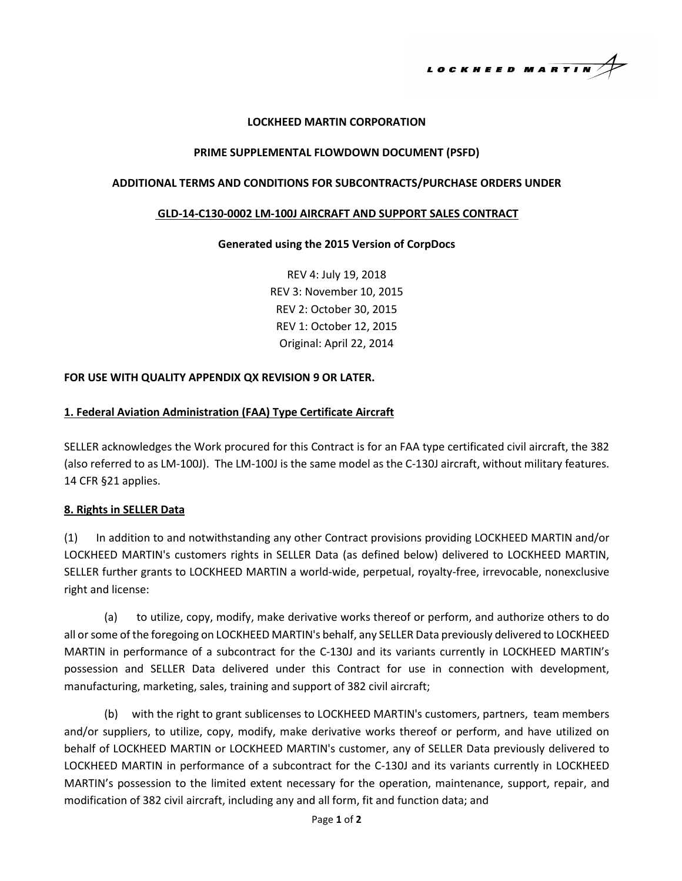LOCKHEED MARTIN

## **LOCKHEED MARTIN CORPORATION**

#### **PRIME SUPPLEMENTAL FLOWDOWN DOCUMENT (PSFD)**

## **ADDITIONAL TERMS AND CONDITIONS FOR SUBCONTRACTS/PURCHASE ORDERS UNDER**

#### **GLD-14-C130-0002 LM-100J AIRCRAFT AND SUPPORT SALES CONTRACT**

## **Generated using the 2015 Version of CorpDocs**

REV 4: July 19, 2018 REV 3: November 10, 2015 REV 2: October 30, 2015 REV 1: October 12, 2015 Original: April 22, 2014

## **FOR USE WITH QUALITY APPENDIX QX REVISION 9 OR LATER.**

## **1. Federal Aviation Administration (FAA) Type Certificate Aircraft**

SELLER acknowledges the Work procured for this Contract is for an FAA type certificated civil aircraft, the 382 (also referred to as LM-100J). The LM-100J is the same model as the C-130J aircraft, without military features. 14 CFR §21 applies.

#### **8. Rights in SELLER Data**

(1) In addition to and notwithstanding any other Contract provisions providing LOCKHEED MARTIN and/or LOCKHEED MARTIN's customers rights in SELLER Data (as defined below) delivered to LOCKHEED MARTIN, SELLER further grants to LOCKHEED MARTIN a world-wide, perpetual, royalty-free, irrevocable, nonexclusive right and license:

(a) to utilize, copy, modify, make derivative works thereof or perform, and authorize others to do all or some of the foregoing on LOCKHEED MARTIN's behalf, any SELLER Data previously delivered to LOCKHEED MARTIN in performance of a subcontract for the C-130J and its variants currently in LOCKHEED MARTIN's possession and SELLER Data delivered under this Contract for use in connection with development, manufacturing, marketing, sales, training and support of 382 civil aircraft;

(b) with the right to grant sublicenses to LOCKHEED MARTIN's customers, partners, team members and/or suppliers, to utilize, copy, modify, make derivative works thereof or perform, and have utilized on behalf of LOCKHEED MARTIN or LOCKHEED MARTIN's customer, any of SELLER Data previously delivered to LOCKHEED MARTIN in performance of a subcontract for the C-130J and its variants currently in LOCKHEED MARTIN's possession to the limited extent necessary for the operation, maintenance, support, repair, and modification of 382 civil aircraft, including any and all form, fit and function data; and